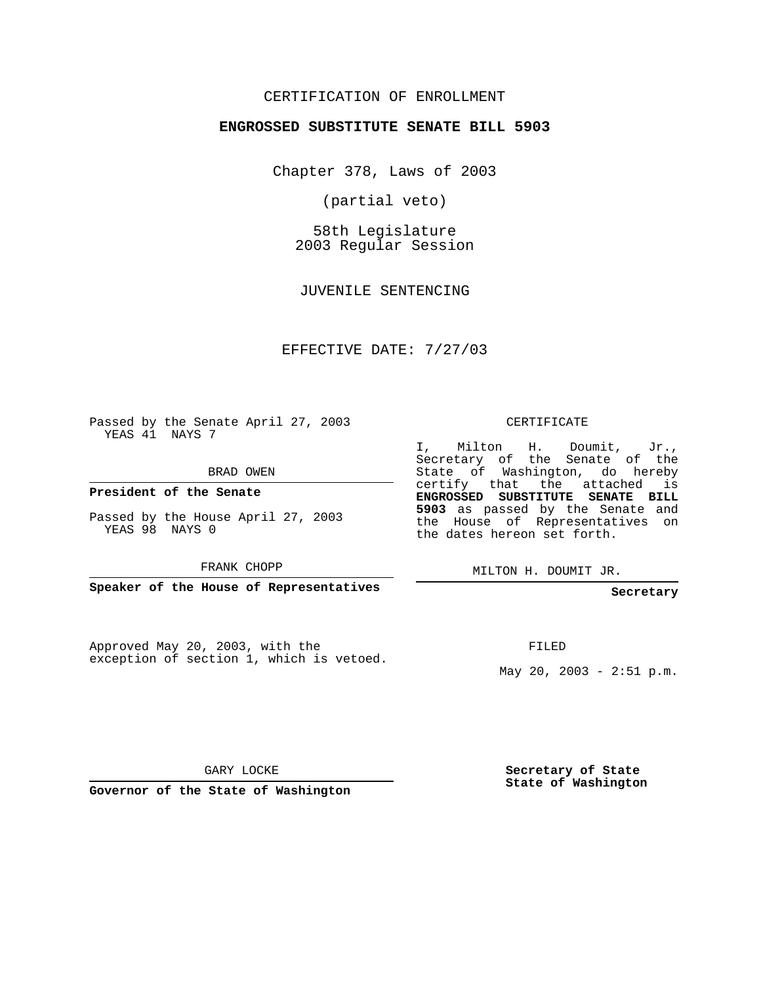## CERTIFICATION OF ENROLLMENT

#### **ENGROSSED SUBSTITUTE SENATE BILL 5903**

Chapter 378, Laws of 2003

(partial veto)

58th Legislature 2003 Regular Session

JUVENILE SENTENCING

EFFECTIVE DATE: 7/27/03

Passed by the Senate April 27, 2003 YEAS 41 NAYS 7

BRAD OWEN

**President of the Senate**

Passed by the House April 27, 2003 YEAS 98 NAYS 0

FRANK CHOPP

**Speaker of the House of Representatives**

Approved May 20, 2003, with the exception of section 1, which is vetoed.

#### CERTIFICATE

I, Milton H. Doumit, Jr., Secretary of the Senate of the State of Washington, do hereby certify that the attached is **ENGROSSED SUBSTITUTE SENATE BILL 5903** as passed by the Senate and the House of Representatives on the dates hereon set forth.

MILTON H. DOUMIT JR.

**Secretary**

FILED

May 20, 2003 -  $2:51 \text{ p.m.}$ 

GARY LOCKE

**Governor of the State of Washington**

**Secretary of State State of Washington**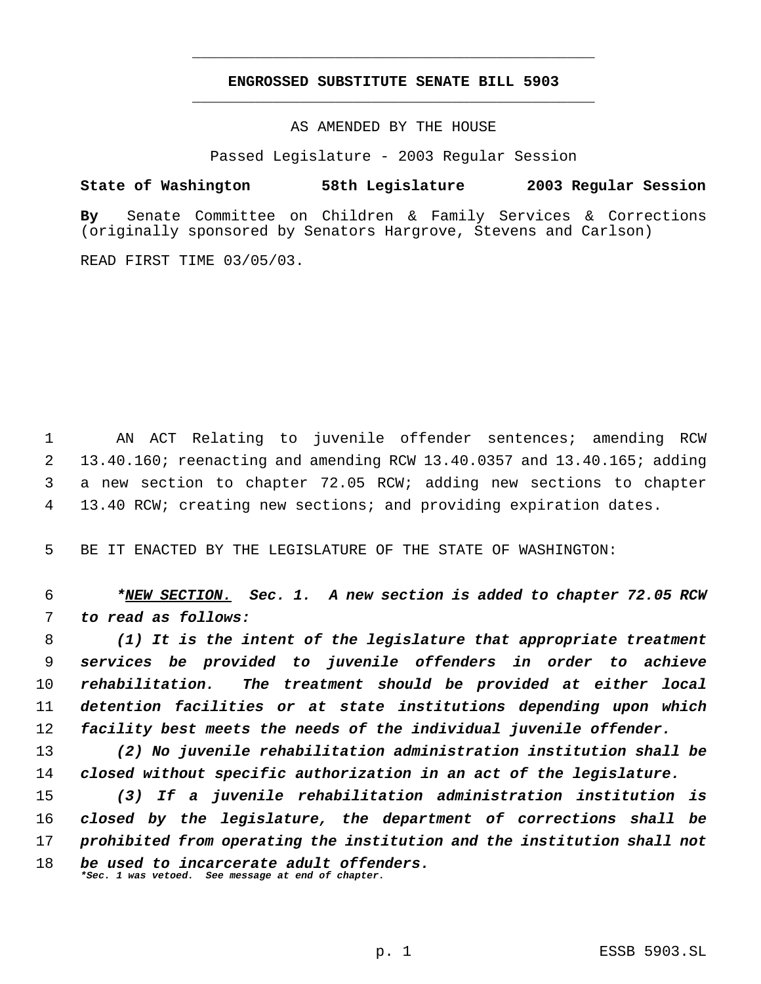# **ENGROSSED SUBSTITUTE SENATE BILL 5903** \_\_\_\_\_\_\_\_\_\_\_\_\_\_\_\_\_\_\_\_\_\_\_\_\_\_\_\_\_\_\_\_\_\_\_\_\_\_\_\_\_\_\_\_\_

\_\_\_\_\_\_\_\_\_\_\_\_\_\_\_\_\_\_\_\_\_\_\_\_\_\_\_\_\_\_\_\_\_\_\_\_\_\_\_\_\_\_\_\_\_

AS AMENDED BY THE HOUSE

Passed Legislature - 2003 Regular Session

**State of Washington 58th Legislature 2003 Regular Session**

**By** Senate Committee on Children & Family Services & Corrections (originally sponsored by Senators Hargrove, Stevens and Carlson)

READ FIRST TIME 03/05/03.

 AN ACT Relating to juvenile offender sentences; amending RCW 13.40.160; reenacting and amending RCW 13.40.0357 and 13.40.165; adding a new section to chapter 72.05 RCW; adding new sections to chapter 13.40 RCW; creating new sections; and providing expiration dates.

BE IT ENACTED BY THE LEGISLATURE OF THE STATE OF WASHINGTON:

 *\*NEW SECTION. Sec. 1. A new section is added to chapter 72.05 RCW to read as follows:*

 *(1) It is the intent of the legislature that appropriate treatment services be provided to juvenile offenders in order to achieve rehabilitation. The treatment should be provided at either local detention facilities or at state institutions depending upon which facility best meets the needs of the individual juvenile offender.*

 *(2) No juvenile rehabilitation administration institution shall be closed without specific authorization in an act of the legislature.*

 *(3) If a juvenile rehabilitation administration institution is closed by the legislature, the department of corrections shall be prohibited from operating the institution and the institution shall not be used to incarcerate adult offenders. \*Sec. 1 was vetoed. See message at end of chapter.*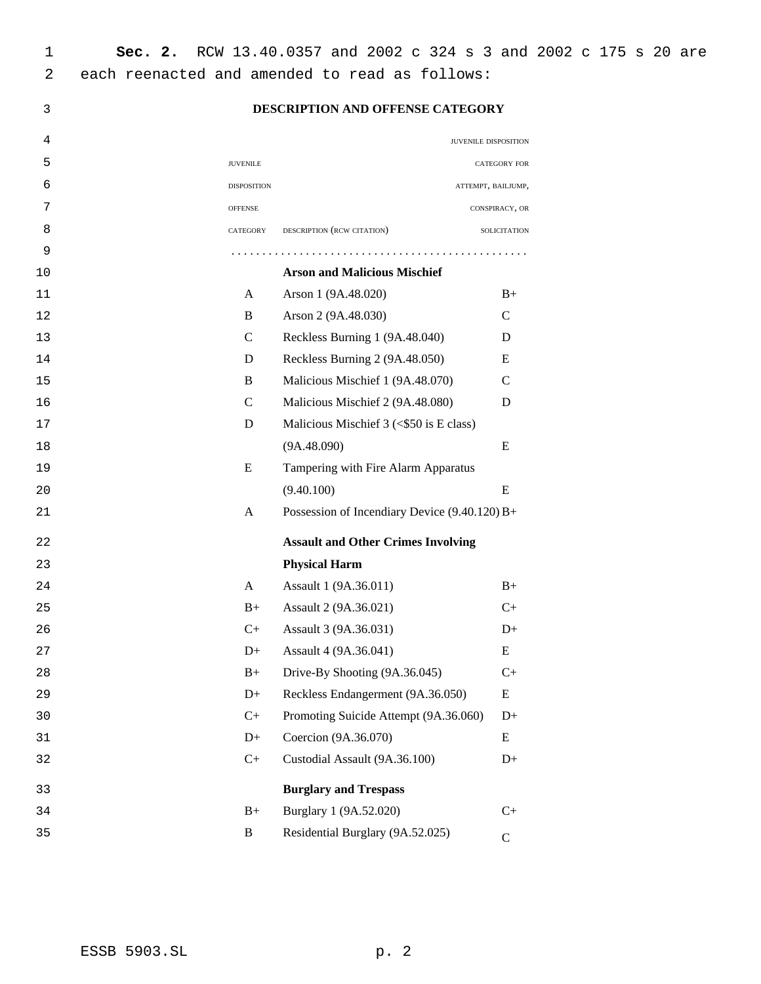## **DESCRIPTION AND OFFENSE CATEGORY**

| 4  |                    |                                               | JUVENILE DISPOSITION |
|----|--------------------|-----------------------------------------------|----------------------|
| 5  | <b>JUVENILE</b>    |                                               | CATEGORY FOR         |
| 6  | <b>DISPOSITION</b> |                                               | ATTEMPT, BAILJUMP,   |
| 7  | <b>OFFENSE</b>     |                                               | CONSPIRACY, OR       |
| 8  | CATEGORY           | DESCRIPTION (RCW CITATION)                    | SOLICITATION         |
| 9  |                    |                                               |                      |
| 10 |                    | <b>Arson and Malicious Mischief</b>           |                      |
| 11 | A                  | Arson 1 (9A.48.020)                           | $B+$                 |
| 12 | B                  | Arson 2 (9A.48.030)                           | $\mathsf{C}$         |
| 13 | $\mathcal{C}$      | Reckless Burning 1 (9A.48.040)                | D                    |
| 14 | D                  | Reckless Burning 2 (9A.48.050)                | E                    |
| 15 | B                  | Malicious Mischief 1 (9A.48.070)              | $\mathsf{C}$         |
| 16 | $\mathcal{C}$      | Malicious Mischief 2 (9A.48.080)              | D                    |
| 17 | D                  | Malicious Mischief $3 \leq$ \$50 is E class)  |                      |
| 18 |                    | (9A.48.090)                                   | E                    |
| 19 | E                  | Tampering with Fire Alarm Apparatus           |                      |
| 20 |                    | (9.40.100)                                    | E                    |
| 21 | A                  | Possession of Incendiary Device (9.40.120) B+ |                      |
| 22 |                    | <b>Assault and Other Crimes Involving</b>     |                      |
| 23 |                    | <b>Physical Harm</b>                          |                      |
| 24 | A                  | Assault 1 (9A.36.011)                         | $B+$                 |
| 25 | $B+$               | Assault 2 (9A.36.021)                         | $C+$                 |
| 26 | $C+$               | Assault 3 (9A.36.031)                         | $D+$                 |
| 27 | $D+$               | Assault 4 (9A.36.041)                         | E                    |
| 28 | $B+$               | Drive-By Shooting (9A.36.045)                 | $C+$                 |
| 29 | $D+$               | Reckless Endangerment (9A.36.050)             | ${\bf E}$            |
| 30 | $C+$               | Promoting Suicide Attempt (9A.36.060)         | $D+$                 |
| 31 | $D+$               | Coercion (9A.36.070)                          | E                    |
| 32 | $C+$               | Custodial Assault (9A.36.100)                 | $D+$                 |
| 33 |                    | <b>Burglary and Trespass</b>                  |                      |
| 34 | $B+$               | Burglary 1 (9A.52.020)                        | $C+$                 |
| 35 | B                  | Residential Burglary (9A.52.025)              | $\mathbf C$          |
|    |                    |                                               |                      |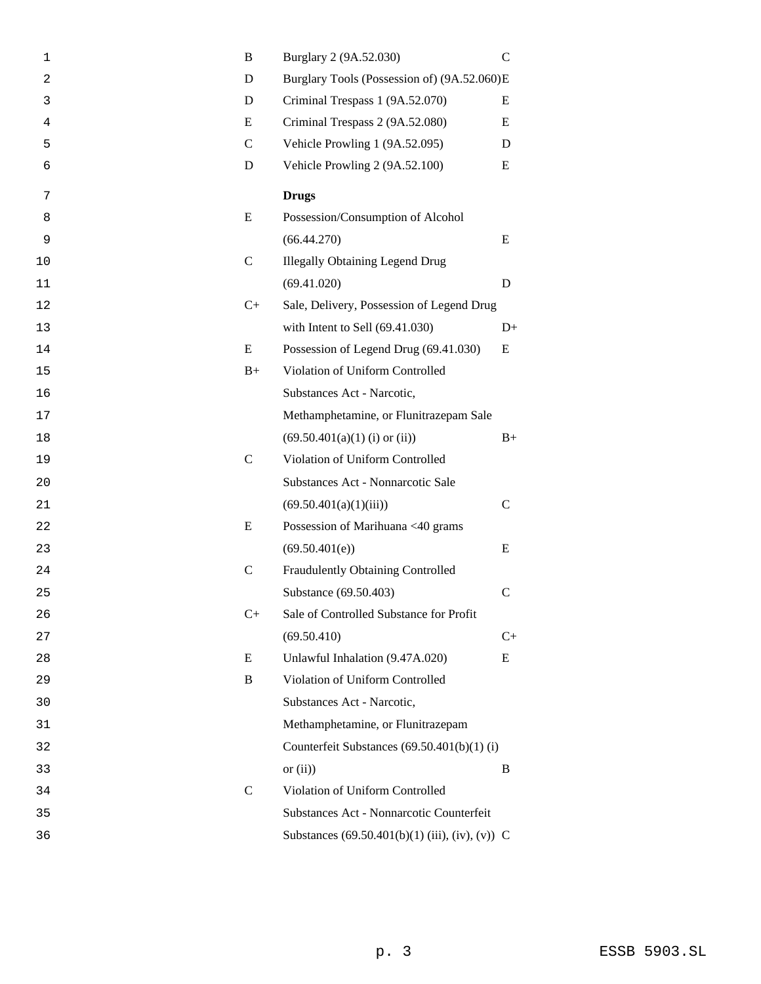| 1  | B            | Burglary 2 (9A.52.030)                          | $\mathsf{C}$ |
|----|--------------|-------------------------------------------------|--------------|
| 2  | D            | Burglary Tools (Possession of) (9A.52.060)E     |              |
| 3  | D            | Criminal Trespass 1 (9A.52.070)                 | E            |
| 4  | E            | Criminal Trespass 2 (9A.52.080)                 | E            |
| 5  | $\mathsf{C}$ | Vehicle Prowling 1 (9A.52.095)                  | D            |
| 6  | D            | Vehicle Prowling 2 (9A.52.100)                  | E            |
| 7  |              | <b>Drugs</b>                                    |              |
| 8  | E            | Possession/Consumption of Alcohol               |              |
| 9  |              | (66.44.270)                                     | E            |
| 10 | $\mathsf{C}$ | <b>Illegally Obtaining Legend Drug</b>          |              |
| 11 |              | (69.41.020)                                     | D            |
| 12 | $C+$         | Sale, Delivery, Possession of Legend Drug       |              |
| 13 |              | with Intent to Sell (69.41.030)                 | $D+$         |
| 14 | E            | Possession of Legend Drug (69.41.030)           | E            |
| 15 | $B+$         | Violation of Uniform Controlled                 |              |
| 16 |              | Substances Act - Narcotic,                      |              |
| 17 |              | Methamphetamine, or Flunitrazepam Sale          |              |
| 18 |              | $(69.50.401(a)(1)$ (i) or (ii))                 | $B+$         |
| 19 | $\mathbf C$  | Violation of Uniform Controlled                 |              |
| 20 |              | Substances Act - Nonnarcotic Sale               |              |
| 21 |              | (69.50.401(a)(1)(iii))                          | $\mathsf{C}$ |
| 22 | E            | Possession of Marihuana <40 grams               |              |
| 23 |              | (69.50.401(e))                                  | E            |
| 24 | $\mathbf C$  | Fraudulently Obtaining Controlled               |              |
| 25 |              | Substance (69.50.403)                           | $\mathsf{C}$ |
| 26 | $C+$         | Sale of Controlled Substance for Profit         |              |
| 27 |              | (69.50.410)                                     | $C+$         |
| 28 | E            | Unlawful Inhalation (9.47A.020)                 | E            |
| 29 | B            | Violation of Uniform Controlled                 |              |
| 30 |              | Substances Act - Narcotic,                      |              |
| 31 |              | Methamphetamine, or Flunitrazepam               |              |
| 32 |              | Counterfeit Substances $(69.50.401(b)(1)$ (i)   |              |
| 33 |              | or $(ii)$ )                                     | B            |
| 34 | $\mathsf{C}$ | Violation of Uniform Controlled                 |              |
| 35 |              | Substances Act - Nonnarcotic Counterfeit        |              |
| 36 |              | Substances (69.50.401(b)(1) (iii), (iv), (v)) C |              |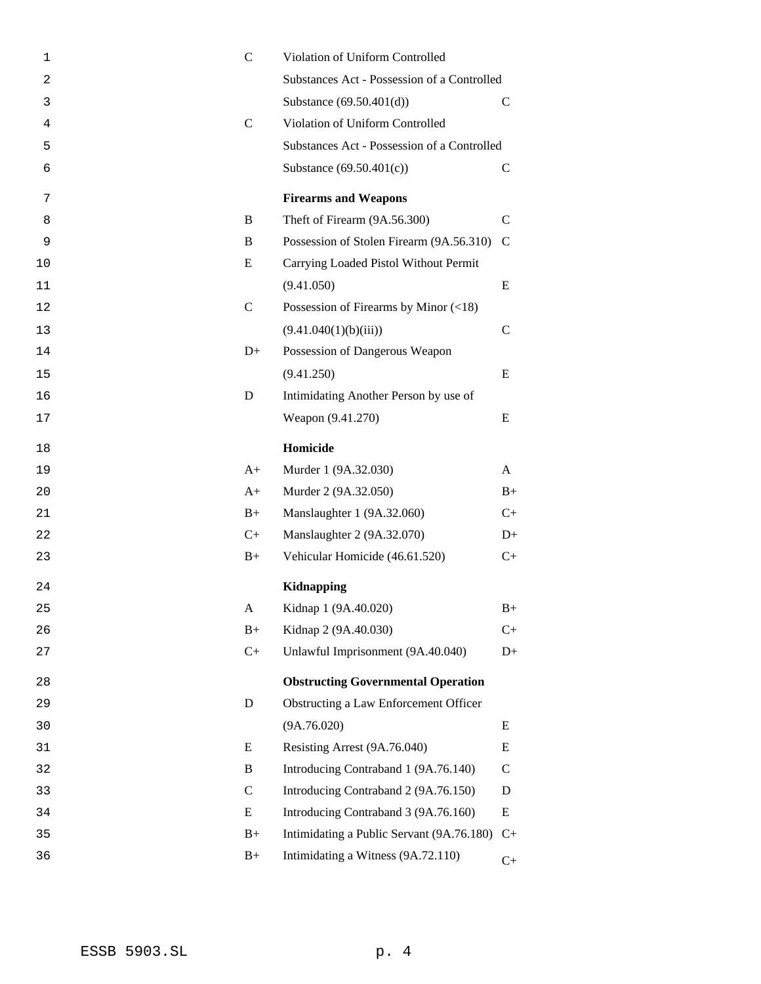| 1              | $\mathsf{C}$  | Violation of Uniform Controlled             |               |
|----------------|---------------|---------------------------------------------|---------------|
| $\overline{2}$ |               | Substances Act - Possession of a Controlled |               |
| 3              |               | Substance (69.50.401(d))                    | С             |
| 4              | $\mathsf{C}$  | Violation of Uniform Controlled             |               |
| 5              |               | Substances Act - Possession of a Controlled |               |
| 6              |               | Substance $(69.50.401(c))$                  | $\mathcal{C}$ |
| 7              |               | <b>Firearms and Weapons</b>                 |               |
| 8              | B             | Theft of Firearm (9A.56.300)                | C             |
| 9              | B             | Possession of Stolen Firearm (9A.56.310)    | $\mathcal{C}$ |
| 10             | E             | Carrying Loaded Pistol Without Permit       |               |
| 11             |               | (9.41.050)                                  | E             |
| 12             | $\mathbf C$   | Possession of Firearms by Minor $(\leq 18)$ |               |
| 13             |               | (9.41.040(1)(b)(iii))                       | $\mathsf{C}$  |
| 14             | $D+$          | Possession of Dangerous Weapon              |               |
| 15             |               | (9.41.250)                                  | E             |
| 16             | D             | Intimidating Another Person by use of       |               |
| $17$           |               | Weapon (9.41.270)                           | E             |
| 18             |               | Homicide                                    |               |
| 19             | $A+$          | Murder 1 (9A.32.030)                        | A             |
| 20             | $A+$          | Murder 2 (9A.32.050)                        | $B+$          |
| 21             | $B+$          | Manslaughter 1 (9A.32.060)                  | $C+$          |
| 22             | $C+$          | Manslaughter 2 (9A.32.070)                  | $D+$          |
| 23             | $B+$          | Vehicular Homicide (46.61.520)              | $C+$          |
| 24             |               | Kidnapping                                  |               |
| 25             | A             | Kidnap 1 (9A.40.020)                        | $B+$          |
| 26             | $B+$          | Kidnap 2 (9A.40.030)                        | $C+$          |
| 27             | $C+$          | Unlawful Imprisonment (9A.40.040)           | $D+$          |
| 28             |               | <b>Obstructing Governmental Operation</b>   |               |
| 29             | $\mathbf D$   | Obstructing a Law Enforcement Officer       |               |
| 30             |               | (9A.76.020)                                 | E             |
| 31             | E             | Resisting Arrest (9A.76.040)                | E             |
| 32             | B             | Introducing Contraband 1 (9A.76.140)        | $\mathsf{C}$  |
| 33             | $\mathcal{C}$ | Introducing Contraband 2 (9A.76.150)        | D             |
| 34             | Ε             | Introducing Contraband 3 (9A.76.160)        | E             |
| 35             | $B+$          | Intimidating a Public Servant (9A.76.180)   | $C+$          |
| 36             | $B+$          | Intimidating a Witness (9A.72.110)          | $C+$          |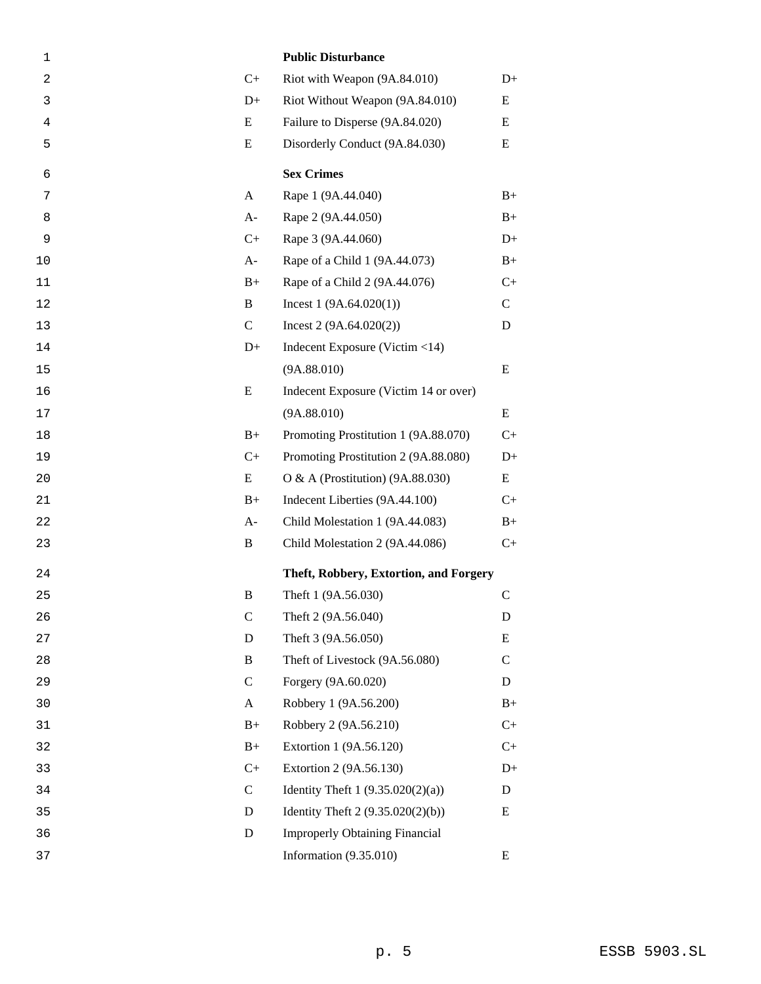| $\mathbf 1$    |              | <b>Public Disturbance</b>              |               |
|----------------|--------------|----------------------------------------|---------------|
| $\overline{c}$ | $C+$         | Riot with Weapon (9A.84.010)           | $D+$          |
| 3              | $D+$         | Riot Without Weapon (9A.84.010)        | E             |
| 4              | E            | Failure to Disperse (9A.84.020)        | E             |
| 5              | E            | Disorderly Conduct (9A.84.030)         | E             |
| 6              |              | <b>Sex Crimes</b>                      |               |
| 7              | A            | Rape 1 (9A.44.040)                     | $B+$          |
| 8              | $A-$         | Rape 2 (9A.44.050)                     | $B+$          |
| 9              | $C+$         | Rape 3 (9A.44.060)                     | $D+$          |
| 10             | $A-$         | Rape of a Child 1 (9A.44.073)          | $B+$          |
| 11             | $B+$         | Rape of a Child 2 (9A.44.076)          | $C+$          |
| 12             | B            | Incest $1(9A.64.020(1))$               | $\mathsf{C}$  |
| 13             | $\mathsf{C}$ | Incest $2(9A.64.020(2))$               | D             |
| 14             | $D+$         | Indecent Exposure (Victim <14)         |               |
| 15             |              | (9A.88.010)                            | E             |
| 16             | E            | Indecent Exposure (Victim 14 or over)  |               |
| 17             |              | (9A.88.010)                            | E             |
| 18             | $B+$         | Promoting Prostitution 1 (9A.88.070)   | $C+$          |
| 19             | $C+$         | Promoting Prostitution 2 (9A.88.080)   | $D+$          |
| 20             | E            | O & A (Prostitution) $(9A.88.030)$     | E             |
| 21             | $B+$         | Indecent Liberties (9A.44.100)         | $C+$          |
| 22             | A-           | Child Molestation 1 (9A.44.083)        | $B+$          |
| 23             | B            | Child Molestation 2 (9A.44.086)        | $C+$          |
| 24             |              | Theft, Robbery, Extortion, and Forgery |               |
| 25             | B            | Theft 1 (9A.56.030)                    | $\mathcal{C}$ |
| 26             | $\mathsf{C}$ | Theft 2 (9A.56.040)                    | D             |
| 27             | D            | Theft 3 (9A.56.050)                    | E             |
| 28             | B            | Theft of Livestock (9A.56.080)         | C             |
| 29             | $\mathsf{C}$ | Forgery (9A.60.020)                    | D             |
| 30             | $\mathbf{A}$ | Robbery 1 (9A.56.200)                  | $B+$          |
| 31             | $B+$         | Robbery 2 (9A.56.210)                  | $C+$          |
| 32             | $B+$         | Extortion 1 (9A.56.120)                | $C+$          |
| 33             | $C+$         | Extortion 2 (9A.56.130)                | $D+$          |
| 34             | $\mathsf{C}$ | Identity Theft 1 (9.35.020(2)(a))      | D             |
| 35             | D            | Identity Theft $2(9.35.020(2)(b))$     | Ε             |
| 36             | D            | <b>Improperly Obtaining Financial</b>  |               |
| 37             |              | Information $(9.35.010)$               | E             |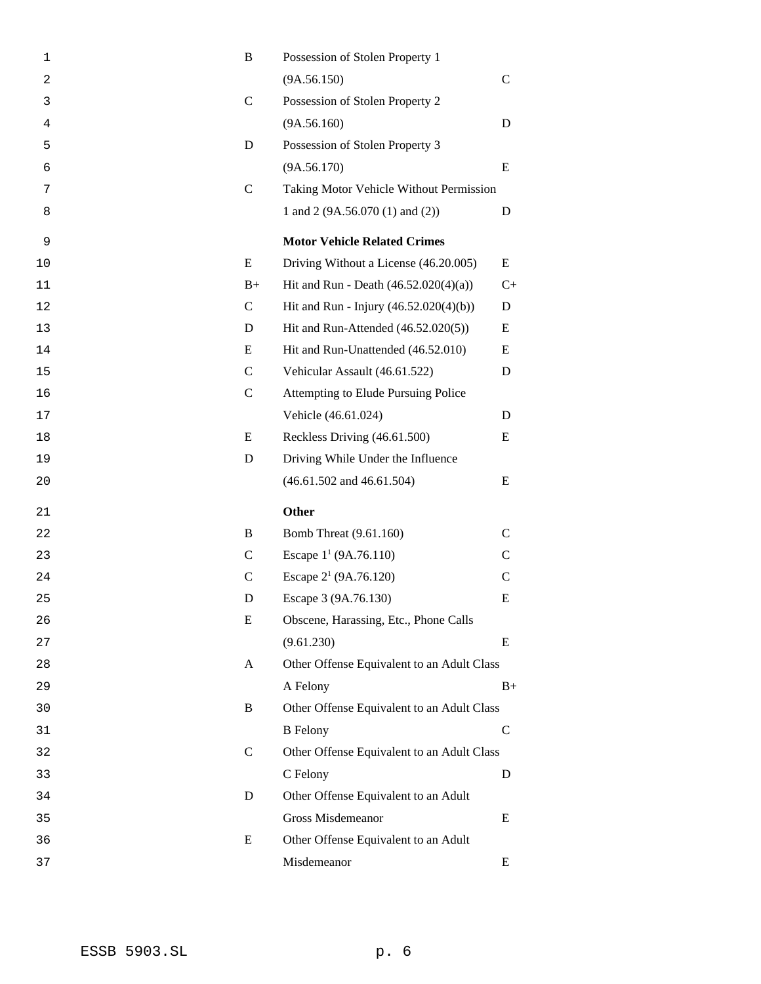| 1  | B             | Possession of Stolen Property 1            |               |
|----|---------------|--------------------------------------------|---------------|
| 2  |               | (9A.56.150)                                | $\mathsf{C}$  |
| 3  | $\mathcal{C}$ | Possession of Stolen Property 2            |               |
| 4  |               | (9A.56.160)                                | D             |
| 5  | D             | Possession of Stolen Property 3            |               |
| 6  |               | (9A.56.170)                                | E             |
| 7  | $\mathcal{C}$ | Taking Motor Vehicle Without Permission    |               |
| 8  |               | 1 and 2 (9A.56.070 (1) and (2))            | D             |
| 9  |               | <b>Motor Vehicle Related Crimes</b>        |               |
| 10 | E             | Driving Without a License (46.20.005)      | E             |
| 11 | $B+$          | Hit and Run - Death $(46.52.020(4)(a))$    | $C+$          |
| 12 | $\mathsf{C}$  | Hit and Run - Injury (46.52.020(4)(b))     | D             |
| 13 | D             | Hit and Run-Attended (46.52.020(5))        | E             |
| 14 | E             | Hit and Run-Unattended (46.52.010)         | E             |
| 15 | $\mathsf{C}$  | Vehicular Assault (46.61.522)              | D             |
| 16 | $\mathcal{C}$ | Attempting to Elude Pursuing Police        |               |
| 17 |               | Vehicle (46.61.024)                        | D             |
| 18 | E             | Reckless Driving (46.61.500)               | E             |
| 19 | D             | Driving While Under the Influence          |               |
| 20 |               | $(46.61.502$ and $46.61.504)$              | E             |
|    |               |                                            |               |
| 21 |               | <b>Other</b>                               |               |
| 22 | B             | <b>Bomb Threat (9.61.160)</b>              | $\mathcal{C}$ |
| 23 | C             | Escape $1^1$ (9A.76.110)                   | $\mathsf{C}$  |
| 24 | $\mathcal{C}$ | Escape 2 <sup>1</sup> (9A.76.120)          | $\mathbf C$   |
| 25 | D             | Escape 3 (9A.76.130)                       | E             |
| 26 | E             | Obscene, Harassing, Etc., Phone Calls      |               |
| 27 |               | (9.61.230)                                 | E             |
| 28 | A             | Other Offense Equivalent to an Adult Class |               |
| 29 |               | A Felony                                   | $B+$          |
| 30 | B             | Other Offense Equivalent to an Adult Class |               |
| 31 |               | <b>B</b> Felony                            | $\mathsf{C}$  |
| 32 | $\mathcal{C}$ | Other Offense Equivalent to an Adult Class |               |
| 33 |               | C Felony                                   | D             |
| 34 | D             | Other Offense Equivalent to an Adult       |               |
| 35 |               | Gross Misdemeanor                          | E             |
| 36 | E             | Other Offense Equivalent to an Adult       |               |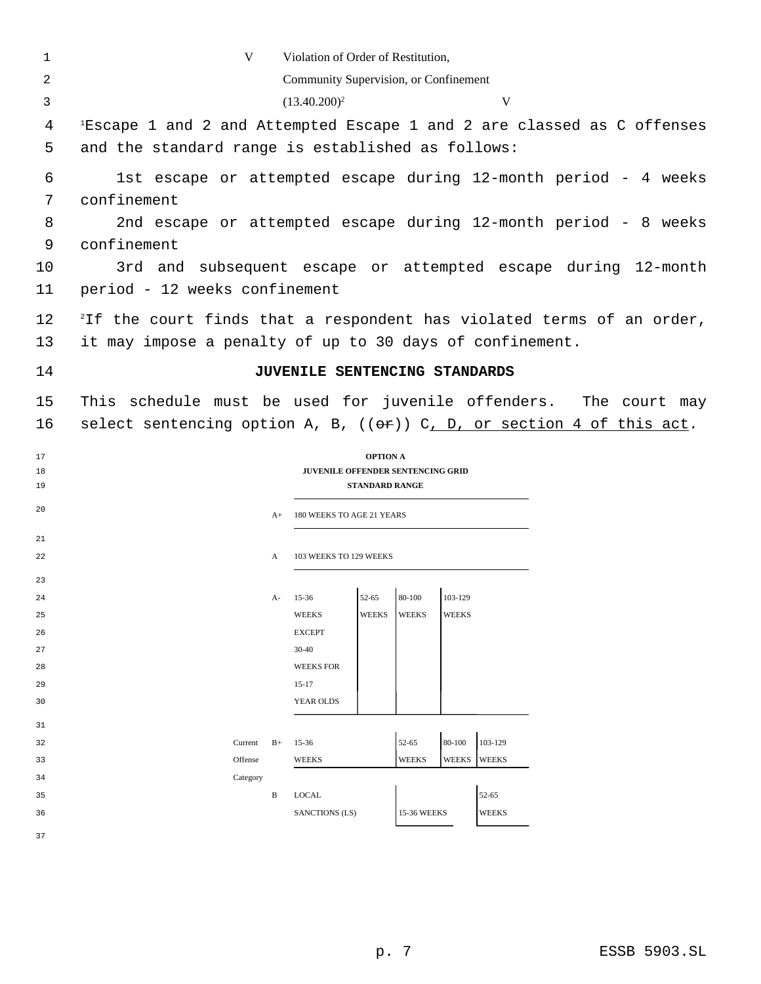| 1        | V                                                                                                                                       |      | Violation of Order of Restitution,       |                       |              |              |                       |  |  |  |
|----------|-----------------------------------------------------------------------------------------------------------------------------------------|------|------------------------------------------|-----------------------|--------------|--------------|-----------------------|--|--|--|
| 2        |                                                                                                                                         |      | Community Supervision, or Confinement    |                       |              |              |                       |  |  |  |
| 3        |                                                                                                                                         |      | $(13.40.200)^2$                          |                       |              |              | V                     |  |  |  |
| 4<br>5   | <sup>1</sup> Escape 1 and 2 and Attempted Escape 1 and 2 are classed as C offenses<br>and the standard range is established as follows: |      |                                          |                       |              |              |                       |  |  |  |
| 6        | 1st escape or attempted escape during 12-month period - 4 weeks                                                                         |      |                                          |                       |              |              |                       |  |  |  |
| 7        | confinement                                                                                                                             |      |                                          |                       |              |              |                       |  |  |  |
| 8        | 2nd escape or attempted escape during 12-month period - 8 weeks                                                                         |      |                                          |                       |              |              |                       |  |  |  |
| 9        | confinement                                                                                                                             |      |                                          |                       |              |              |                       |  |  |  |
| 10       | 3rd and subsequent escape or attempted escape during 12-month                                                                           |      |                                          |                       |              |              |                       |  |  |  |
| 11       | period - 12 weeks confinement                                                                                                           |      |                                          |                       |              |              |                       |  |  |  |
| 12       | <sup>2</sup> If the court finds that a respondent has violated terms of an order,                                                       |      |                                          |                       |              |              |                       |  |  |  |
| 13       | it may impose a penalty of up to 30 days of confinement.                                                                                |      |                                          |                       |              |              |                       |  |  |  |
| 14       |                                                                                                                                         |      | JUVENILE SENTENCING STANDARDS            |                       |              |              |                       |  |  |  |
| 15       | This schedule must be used for juvenile offenders. The court may                                                                        |      |                                          |                       |              |              |                       |  |  |  |
| 16       | select sentencing option A, B, $((\theta \oplus))$ C, D, or section 4 of this act.                                                      |      |                                          |                       |              |              |                       |  |  |  |
| 17       |                                                                                                                                         |      |                                          | <b>OPTION A</b>       |              |              |                       |  |  |  |
| 18       |                                                                                                                                         |      | <b>JUVENILE OFFENDER SENTENCING GRID</b> |                       |              |              |                       |  |  |  |
| 19       |                                                                                                                                         |      |                                          | <b>STANDARD RANGE</b> |              |              |                       |  |  |  |
| 20       |                                                                                                                                         | $A+$ | 180 WEEKS TO AGE 21 YEARS                |                       |              |              |                       |  |  |  |
| 21       |                                                                                                                                         |      |                                          |                       |              |              |                       |  |  |  |
| 22       |                                                                                                                                         | A    | 103 WEEKS TO 129 WEEKS                   |                       |              |              |                       |  |  |  |
| 23       |                                                                                                                                         |      | $15-36$                                  | 52-65                 | 80-100       | 103-129      |                       |  |  |  |
| 24<br>25 |                                                                                                                                         | А-   | <b>WEEKS</b>                             | <b>WEEKS</b>          | <b>WEEKS</b> | <b>WEEKS</b> |                       |  |  |  |
| 26       |                                                                                                                                         |      | <b>EXCEPT</b>                            |                       |              |              |                       |  |  |  |
| 27       |                                                                                                                                         |      | $30 - 40$                                |                       |              |              |                       |  |  |  |
| 28       |                                                                                                                                         |      | <b>WEEKS FOR</b>                         |                       |              |              |                       |  |  |  |
| 29       |                                                                                                                                         |      | $15 - 17$                                |                       |              |              |                       |  |  |  |
| 30       |                                                                                                                                         |      | YEAR OLDS                                |                       |              |              |                       |  |  |  |
| 31       |                                                                                                                                         |      |                                          |                       |              |              |                       |  |  |  |
| 32       | Current                                                                                                                                 | $B+$ | $15-36$                                  |                       | 52-65        | 80-100       | 103-129               |  |  |  |
| 33       | Offense                                                                                                                                 |      | WEEKS                                    |                       | <b>WEEKS</b> | WEEKS        | <b>WEEKS</b>          |  |  |  |
| 34       | Category                                                                                                                                |      |                                          |                       |              |              |                       |  |  |  |
| 35       |                                                                                                                                         | B    | <b>LOCAL</b>                             |                       |              |              | 52-65<br><b>WEEKS</b> |  |  |  |
| 36       |                                                                                                                                         |      | SANCTIONS (LS)                           |                       | 15-36 WEEKS  |              |                       |  |  |  |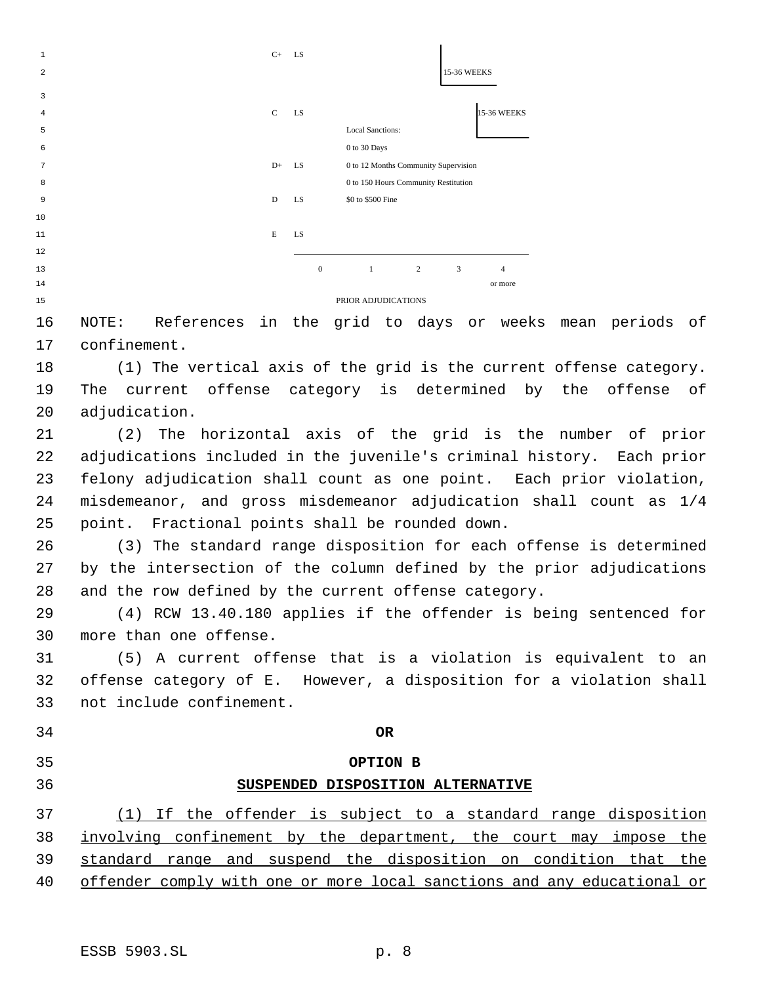

 NOTE: References in the grid to days or weeks mean periods of confinement.

 (1) The vertical axis of the grid is the current offense category. The current offense category is determined by the offense of adjudication.

 (2) The horizontal axis of the grid is the number of prior adjudications included in the juvenile's criminal history. Each prior felony adjudication shall count as one point. Each prior violation, misdemeanor, and gross misdemeanor adjudication shall count as 1/4 point. Fractional points shall be rounded down.

 (3) The standard range disposition for each offense is determined by the intersection of the column defined by the prior adjudications and the row defined by the current offense category.

 (4) RCW 13.40.180 applies if the offender is being sentenced for more than one offense.

 (5) A current offense that is a violation is equivalent to an offense category of E. However, a disposition for a violation shall not include confinement.

**OR**

**OPTION B**

# **SUSPENDED DISPOSITION ALTERNATIVE**

 (1) If the offender is subject to a standard range disposition involving confinement by the department, the court may impose the standard range and suspend the disposition on condition that the offender comply with one or more local sanctions and any educational or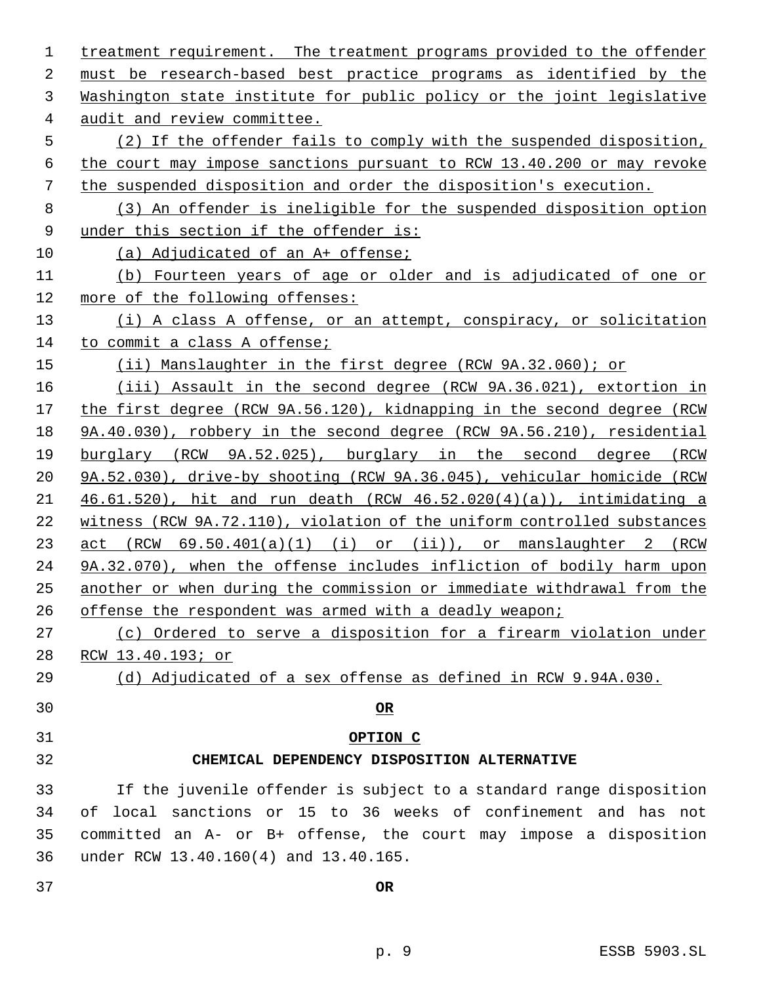| $\mathbf 1$ | treatment requirement. The treatment programs provided to the offender  |
|-------------|-------------------------------------------------------------------------|
| 2           | must be research-based best practice programs as identified by the      |
| 3           | Washington state institute for public policy or the joint legislative   |
| 4           | audit and review committee.                                             |
| 5           | (2) If the offender fails to comply with the suspended disposition,     |
| 6           | the court may impose sanctions pursuant to RCW 13.40.200 or may revoke  |
| 7           | the suspended disposition and order the disposition's execution.        |
| 8           | (3) An offender is ineligible for the suspended disposition option      |
| 9           | under this section if the offender is:                                  |
| 10          | (a) Adjudicated of an A+ offense;                                       |
| 11          | (b) Fourteen years of age or older and is adjudicated of one or         |
| 12          | more of the following offenses:                                         |
| 13          | (i) A class A offense, or an attempt, conspiracy, or solicitation       |
| 14          | to commit a class A offense;                                            |
| 15          | $(i)$ Manslaughter in the first degree (RCW 9A.32.060); or              |
| 16          | (iii) Assault in the second degree (RCW 9A.36.021), extortion in        |
| 17          | the first degree (RCW 9A.56.120), kidnapping in the second degree (RCW  |
| 18          | 9A.40.030), robbery in the second degree (RCW 9A.56.210), residential   |
| 19          | burglary (RCW 9A.52.025), burglary in the second degree (RCW            |
| 20          | 9A.52.030), drive-by shooting (RCW 9A.36.045), vehicular homicide (RCW  |
| 21          | 46.61.520), hit and run death (RCW $46.52.020(4)(a)$ ), intimidating a  |
| 22          | witness (RCW 9A.72.110), violation of the uniform controlled substances |
| 23          | $act$ (RCW $69.50.401(a)(1)$ (i) or (ii)), or manslaughter 2 (RCW       |
| 24          | 9A.32.070), when the offense includes infliction of bodily harm upon    |
| 25          | another or when during the commission or immediate withdrawal from the  |
| 26          | offense the respondent was armed with a deadly weapon;                  |
| 27          | (c) Ordered to serve a disposition for a firearm violation under        |
| 28          | <u>RCW 13.40.193; or</u>                                                |
| 29          | (d) Adjudicated of a sex offense as defined in RCW 9.94A.030.           |
| 30          | $OR$                                                                    |
| 31          | OPTION C                                                                |
| 32          | CHEMICAL DEPENDENCY DISPOSITION ALTERNATIVE                             |
| 33          | If the juvenile offender is subject to a standard range disposition     |
| 34          | of local sanctions or 15 to 36 weeks of confinement and has not         |
| 35          | committed an A- or B+ offense, the court may impose a disposition       |
| 36          | under RCW 13.40.160(4) and 13.40.165.                                   |
| 37          | <b>OR</b>                                                               |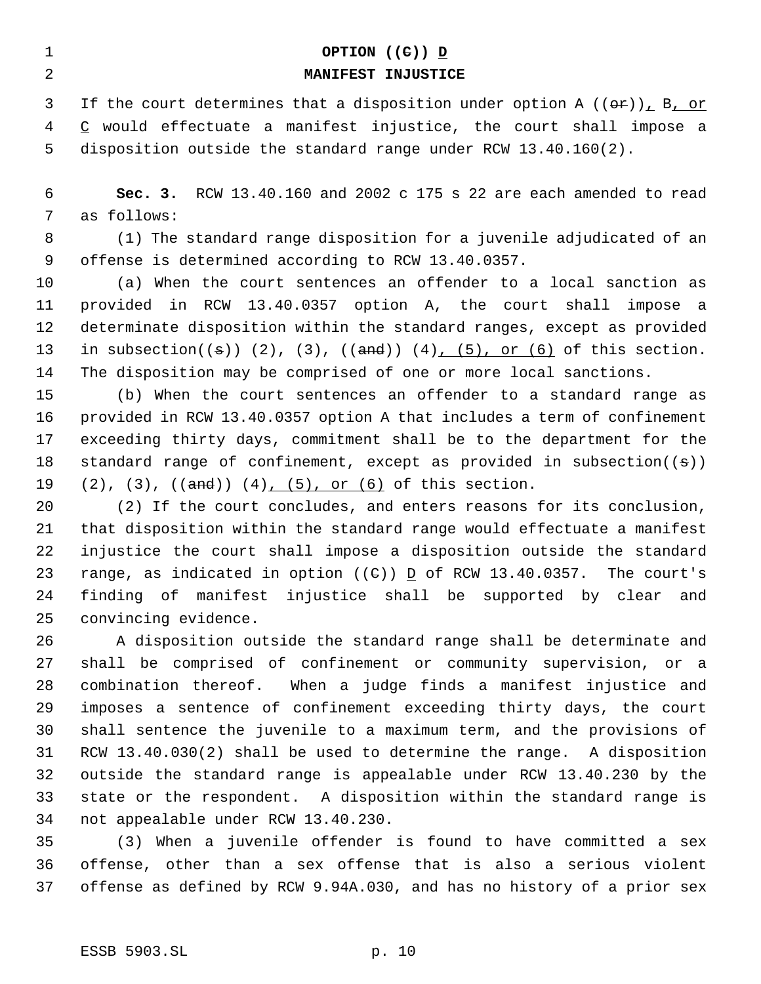| 1              | OPTION $((e))$ D                                                                                |
|----------------|-------------------------------------------------------------------------------------------------|
| $\overline{a}$ | MANIFEST INJUSTICE                                                                              |
| 3              | If the court determines that a disposition under option A $((\theta \cdot \mathbf{r}))$ , B, or |
| 4              | $C$ would effectuate a manifest injustice, the court shall impose a                             |
| 5              | disposition outside the standard range under RCW 13.40.160(2).                                  |
| 6              | Sec. 3. RCW 13.40.160 and 2002 c 175 s 22 are each amended to read                              |
| 7              | as follows:                                                                                     |
| 8              | (1) The standard range disposition for a juvenile adjudicated of an                             |
| 9              | offense is determined according to RCW 13.40.0357.                                              |
| 10             | (a) When the court sentences an offender to a local sanction as                                 |
| 11             | provided in RCW 13.40.0357 option A, the court shall impose a                                   |
| 12             | determinate disposition within the standard ranges, except as provided                          |
| 13             | in subsection( $(\pm)$ ) $(2)$ , $(3)$ , $((\pm)$ $(4)$ , $(5)$ , or $(6)$ of this section.     |
| 14             | The disposition may be comprised of one or more local sanctions.                                |
| 15             | (b) When the court sentences an offender to a standard range as                                 |
| 16             | provided in RCW 13.40.0357 option A that includes a term of confinement                         |
| 17             | exceeding thirty days, commitment shall be to the department for the                            |
| 18             | standard range of confinement, except as provided in subsection( $(\theta)$ )                   |

19 (2), (3), ((and)) (4), (5), or (6) of this section. (2) If the court concludes, and enters reasons for its conclusion,

 that disposition within the standard range would effectuate a manifest injustice the court shall impose a disposition outside the standard 23 range, as indicated in option  $((e))$   $\subseteq$  of RCW 13.40.0357. The court's finding of manifest injustice shall be supported by clear and convincing evidence.

 A disposition outside the standard range shall be determinate and shall be comprised of confinement or community supervision, or a combination thereof. When a judge finds a manifest injustice and imposes a sentence of confinement exceeding thirty days, the court shall sentence the juvenile to a maximum term, and the provisions of RCW 13.40.030(2) shall be used to determine the range. A disposition outside the standard range is appealable under RCW 13.40.230 by the state or the respondent. A disposition within the standard range is not appealable under RCW 13.40.230.

 (3) When a juvenile offender is found to have committed a sex offense, other than a sex offense that is also a serious violent offense as defined by RCW 9.94A.030, and has no history of a prior sex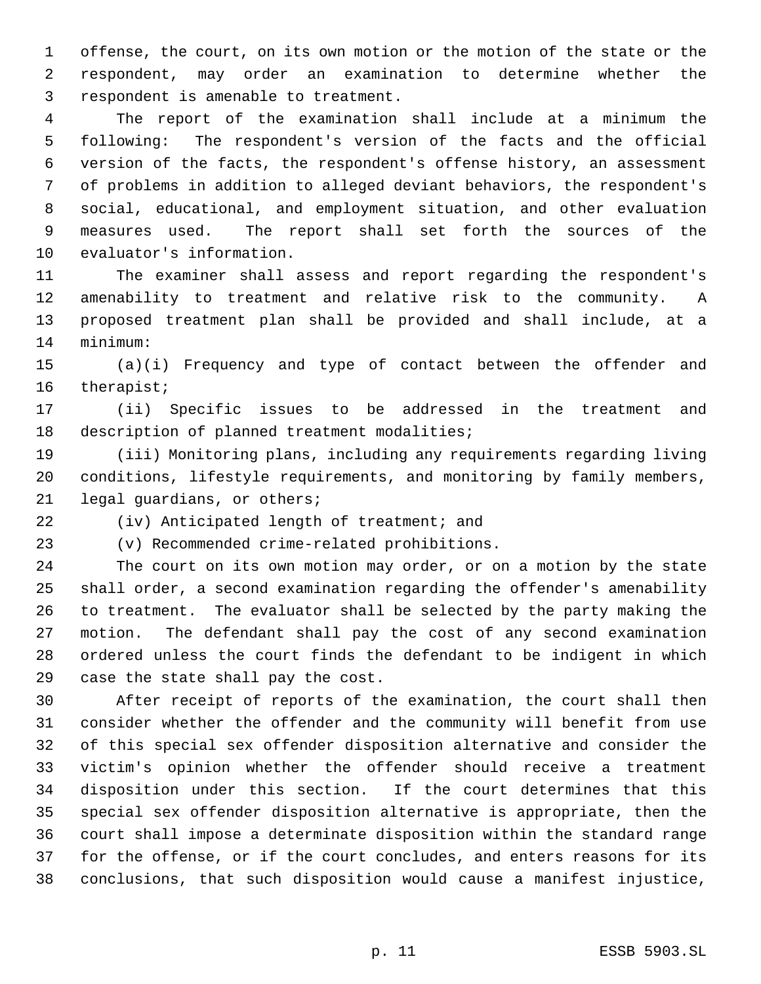offense, the court, on its own motion or the motion of the state or the respondent, may order an examination to determine whether the respondent is amenable to treatment.

 The report of the examination shall include at a minimum the following: The respondent's version of the facts and the official version of the facts, the respondent's offense history, an assessment of problems in addition to alleged deviant behaviors, the respondent's social, educational, and employment situation, and other evaluation measures used. The report shall set forth the sources of the evaluator's information.

 The examiner shall assess and report regarding the respondent's amenability to treatment and relative risk to the community. A proposed treatment plan shall be provided and shall include, at a minimum:

 (a)(i) Frequency and type of contact between the offender and therapist;

 (ii) Specific issues to be addressed in the treatment and description of planned treatment modalities;

 (iii) Monitoring plans, including any requirements regarding living conditions, lifestyle requirements, and monitoring by family members, legal guardians, or others;

(iv) Anticipated length of treatment; and

(v) Recommended crime-related prohibitions.

 The court on its own motion may order, or on a motion by the state shall order, a second examination regarding the offender's amenability to treatment. The evaluator shall be selected by the party making the motion. The defendant shall pay the cost of any second examination ordered unless the court finds the defendant to be indigent in which case the state shall pay the cost.

 After receipt of reports of the examination, the court shall then consider whether the offender and the community will benefit from use of this special sex offender disposition alternative and consider the victim's opinion whether the offender should receive a treatment disposition under this section. If the court determines that this special sex offender disposition alternative is appropriate, then the court shall impose a determinate disposition within the standard range for the offense, or if the court concludes, and enters reasons for its conclusions, that such disposition would cause a manifest injustice,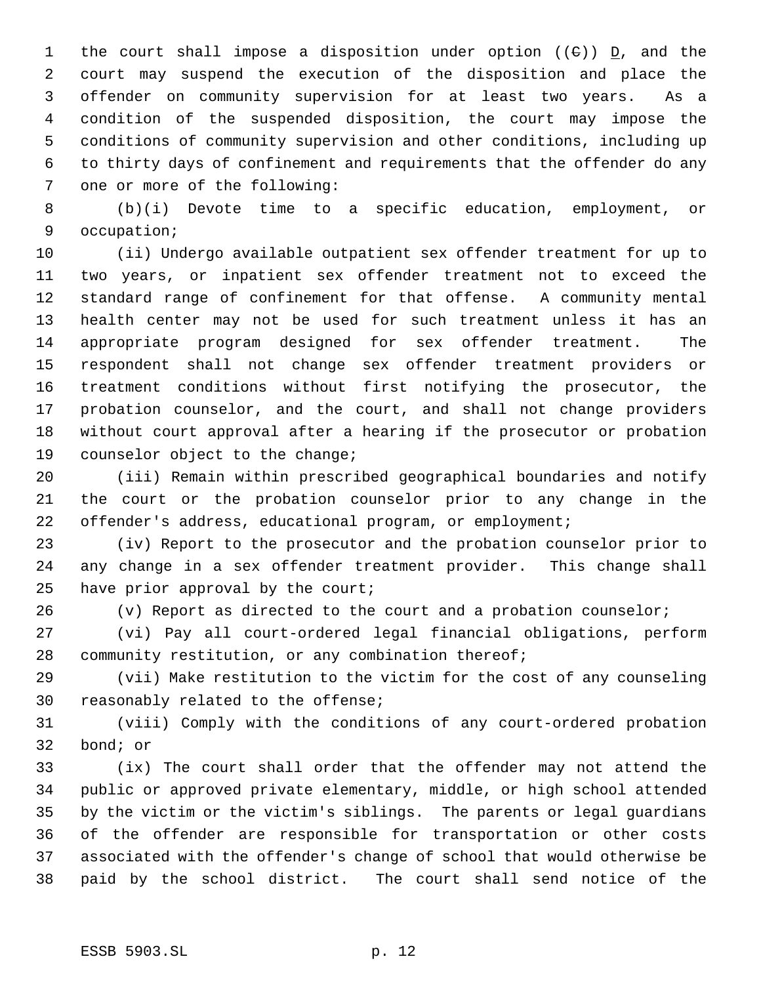1 the court shall impose a disposition under option (( $\theta$ ))  $\underline{D}$ , and the court may suspend the execution of the disposition and place the offender on community supervision for at least two years. As a condition of the suspended disposition, the court may impose the conditions of community supervision and other conditions, including up to thirty days of confinement and requirements that the offender do any one or more of the following:

 (b)(i) Devote time to a specific education, employment, or occupation;

 (ii) Undergo available outpatient sex offender treatment for up to two years, or inpatient sex offender treatment not to exceed the standard range of confinement for that offense. A community mental health center may not be used for such treatment unless it has an appropriate program designed for sex offender treatment. The respondent shall not change sex offender treatment providers or treatment conditions without first notifying the prosecutor, the probation counselor, and the court, and shall not change providers without court approval after a hearing if the prosecutor or probation counselor object to the change;

 (iii) Remain within prescribed geographical boundaries and notify the court or the probation counselor prior to any change in the offender's address, educational program, or employment;

 (iv) Report to the prosecutor and the probation counselor prior to any change in a sex offender treatment provider. This change shall have prior approval by the court;

(v) Report as directed to the court and a probation counselor;

 (vi) Pay all court-ordered legal financial obligations, perform community restitution, or any combination thereof;

 (vii) Make restitution to the victim for the cost of any counseling reasonably related to the offense;

 (viii) Comply with the conditions of any court-ordered probation bond; or

 (ix) The court shall order that the offender may not attend the public or approved private elementary, middle, or high school attended by the victim or the victim's siblings. The parents or legal guardians of the offender are responsible for transportation or other costs associated with the offender's change of school that would otherwise be paid by the school district. The court shall send notice of the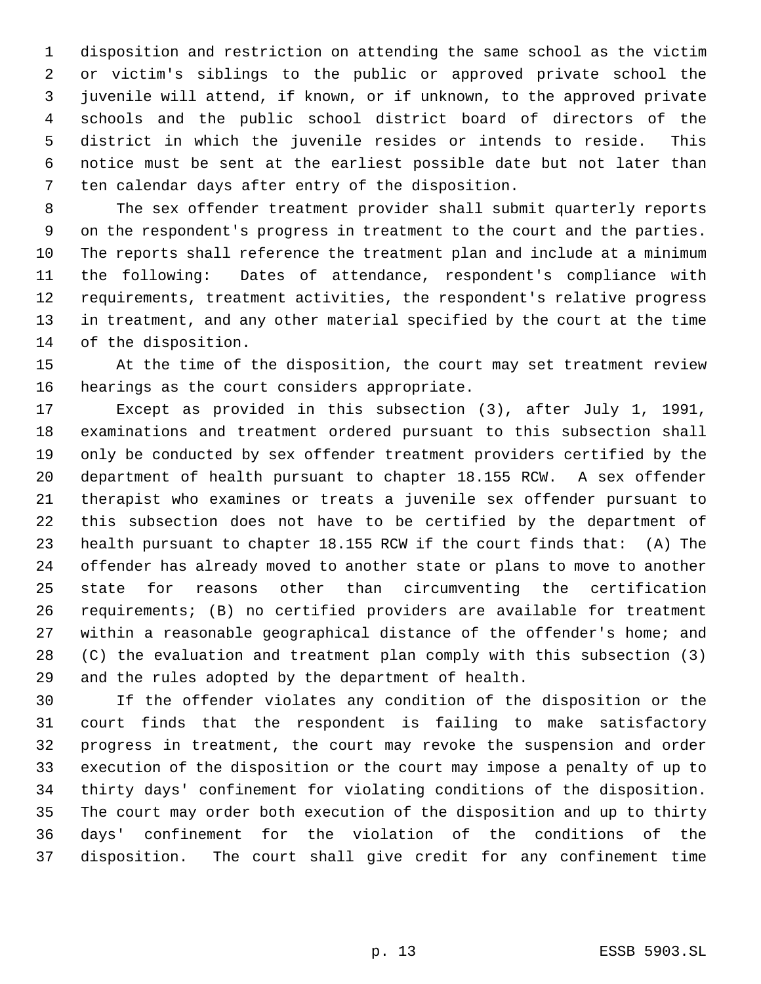disposition and restriction on attending the same school as the victim or victim's siblings to the public or approved private school the juvenile will attend, if known, or if unknown, to the approved private schools and the public school district board of directors of the district in which the juvenile resides or intends to reside. This notice must be sent at the earliest possible date but not later than ten calendar days after entry of the disposition.

 The sex offender treatment provider shall submit quarterly reports on the respondent's progress in treatment to the court and the parties. The reports shall reference the treatment plan and include at a minimum the following: Dates of attendance, respondent's compliance with requirements, treatment activities, the respondent's relative progress in treatment, and any other material specified by the court at the time of the disposition.

 At the time of the disposition, the court may set treatment review hearings as the court considers appropriate.

 Except as provided in this subsection (3), after July 1, 1991, examinations and treatment ordered pursuant to this subsection shall only be conducted by sex offender treatment providers certified by the department of health pursuant to chapter 18.155 RCW. A sex offender therapist who examines or treats a juvenile sex offender pursuant to this subsection does not have to be certified by the department of health pursuant to chapter 18.155 RCW if the court finds that: (A) The offender has already moved to another state or plans to move to another state for reasons other than circumventing the certification requirements; (B) no certified providers are available for treatment within a reasonable geographical distance of the offender's home; and (C) the evaluation and treatment plan comply with this subsection (3) and the rules adopted by the department of health.

 If the offender violates any condition of the disposition or the court finds that the respondent is failing to make satisfactory progress in treatment, the court may revoke the suspension and order execution of the disposition or the court may impose a penalty of up to thirty days' confinement for violating conditions of the disposition. The court may order both execution of the disposition and up to thirty days' confinement for the violation of the conditions of the disposition. The court shall give credit for any confinement time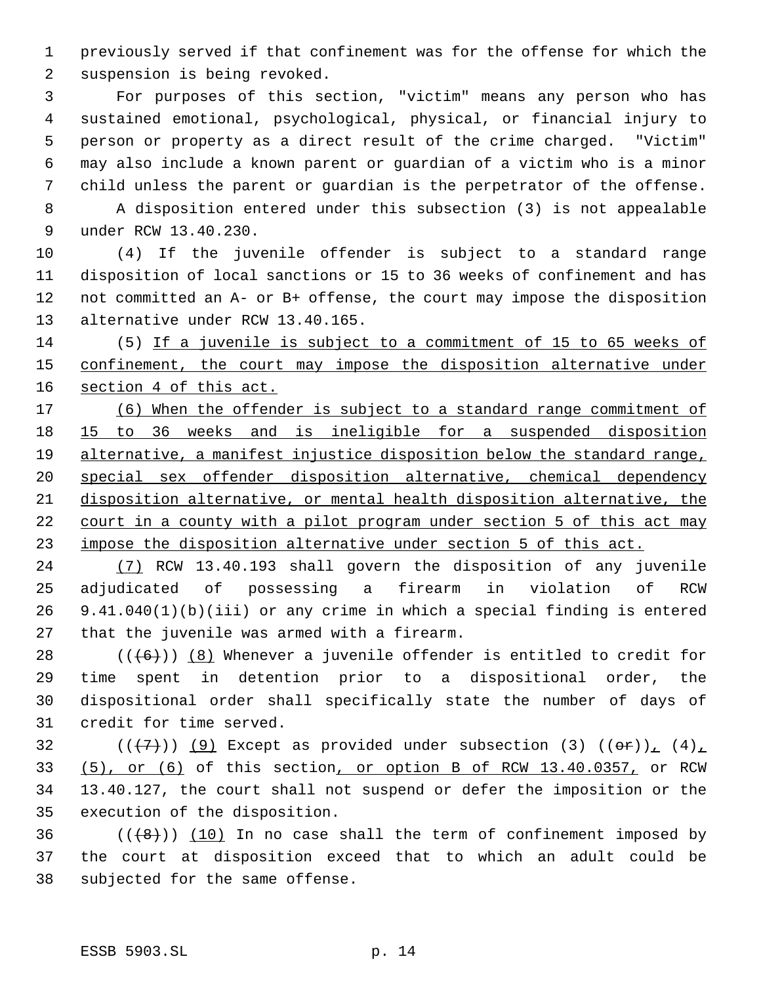previously served if that confinement was for the offense for which the suspension is being revoked.

 For purposes of this section, "victim" means any person who has sustained emotional, psychological, physical, or financial injury to person or property as a direct result of the crime charged. "Victim" may also include a known parent or guardian of a victim who is a minor child unless the parent or guardian is the perpetrator of the offense.

 A disposition entered under this subsection (3) is not appealable under RCW 13.40.230.

 (4) If the juvenile offender is subject to a standard range disposition of local sanctions or 15 to 36 weeks of confinement and has not committed an A- or B+ offense, the court may impose the disposition alternative under RCW 13.40.165.

 (5) If a juvenile is subject to a commitment of 15 to 65 weeks of 15 confinement, the court may impose the disposition alternative under 16 section 4 of this act.

 (6) When the offender is subject to a standard range commitment of 15 to 36 weeks and is ineligible for a suspended disposition alternative, a manifest injustice disposition below the standard range, special sex offender disposition alternative, chemical dependency disposition alternative, or mental health disposition alternative, the court in a county with a pilot program under section 5 of this act may impose the disposition alternative under section 5 of this act.

 (7) RCW 13.40.193 shall govern the disposition of any juvenile adjudicated of possessing a firearm in violation of RCW 9.41.040(1)(b)(iii) or any crime in which a special finding is entered that the juvenile was armed with a firearm.

 $((+6))$  (8) Whenever a juvenile offender is entitled to credit for time spent in detention prior to a dispositional order, the dispositional order shall specifically state the number of days of credit for time served.

32 ( $(\overline{+7})$ ) (9) Except as provided under subsection (3)  $((\overline{+9})_1, (4)_1)$  (5), or (6) of this section, or option B of RCW 13.40.0357, or RCW 13.40.127, the court shall not suspend or defer the imposition or the execution of the disposition.

36  $((+8))$   $(10)$  In no case shall the term of confinement imposed by the court at disposition exceed that to which an adult could be subjected for the same offense.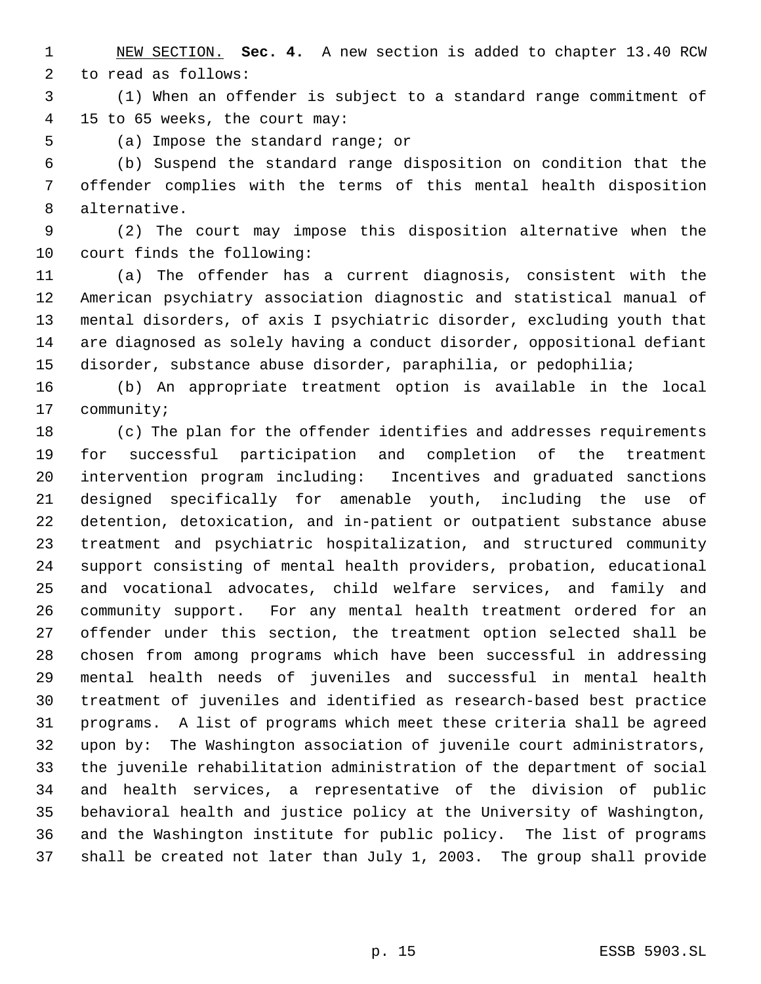NEW SECTION. **Sec. 4.** A new section is added to chapter 13.40 RCW to read as follows:

 (1) When an offender is subject to a standard range commitment of 15 to 65 weeks, the court may:

(a) Impose the standard range; or

 (b) Suspend the standard range disposition on condition that the offender complies with the terms of this mental health disposition alternative.

 (2) The court may impose this disposition alternative when the court finds the following:

 (a) The offender has a current diagnosis, consistent with the American psychiatry association diagnostic and statistical manual of mental disorders, of axis I psychiatric disorder, excluding youth that are diagnosed as solely having a conduct disorder, oppositional defiant disorder, substance abuse disorder, paraphilia, or pedophilia;

 (b) An appropriate treatment option is available in the local community;

 (c) The plan for the offender identifies and addresses requirements for successful participation and completion of the treatment intervention program including: Incentives and graduated sanctions designed specifically for amenable youth, including the use of detention, detoxication, and in-patient or outpatient substance abuse treatment and psychiatric hospitalization, and structured community support consisting of mental health providers, probation, educational and vocational advocates, child welfare services, and family and community support. For any mental health treatment ordered for an offender under this section, the treatment option selected shall be chosen from among programs which have been successful in addressing mental health needs of juveniles and successful in mental health treatment of juveniles and identified as research-based best practice programs. A list of programs which meet these criteria shall be agreed upon by: The Washington association of juvenile court administrators, the juvenile rehabilitation administration of the department of social and health services, a representative of the division of public behavioral health and justice policy at the University of Washington, and the Washington institute for public policy. The list of programs shall be created not later than July 1, 2003. The group shall provide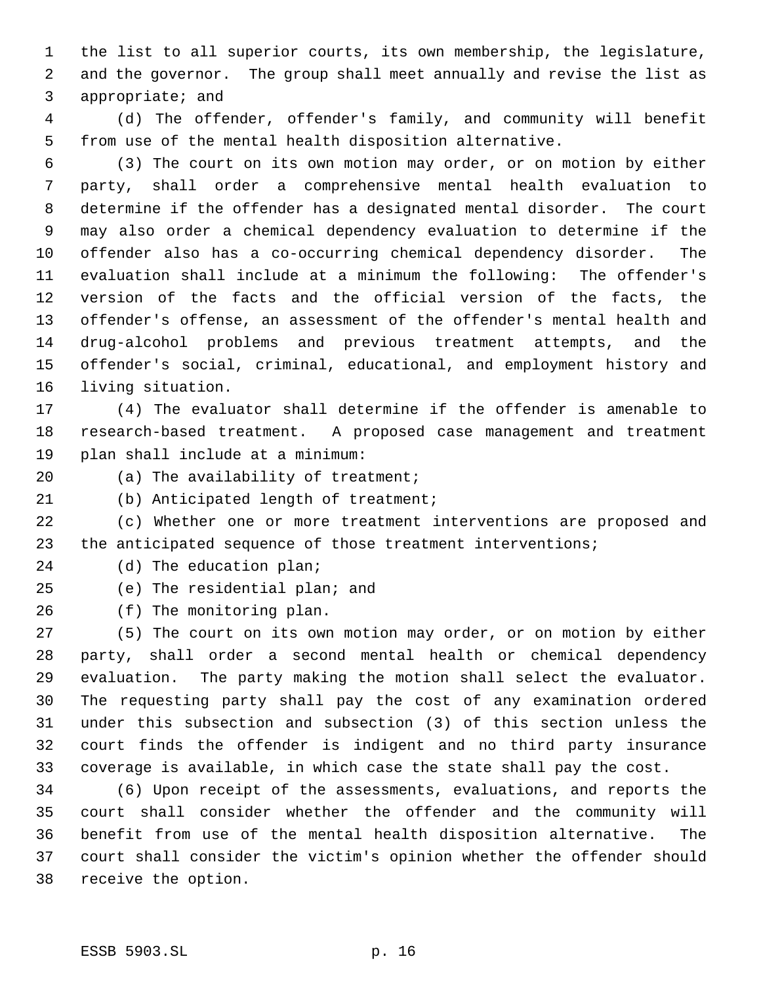the list to all superior courts, its own membership, the legislature, and the governor. The group shall meet annually and revise the list as appropriate; and

 (d) The offender, offender's family, and community will benefit from use of the mental health disposition alternative.

 (3) The court on its own motion may order, or on motion by either party, shall order a comprehensive mental health evaluation to determine if the offender has a designated mental disorder. The court may also order a chemical dependency evaluation to determine if the offender also has a co-occurring chemical dependency disorder. The evaluation shall include at a minimum the following: The offender's version of the facts and the official version of the facts, the offender's offense, an assessment of the offender's mental health and drug-alcohol problems and previous treatment attempts, and the offender's social, criminal, educational, and employment history and living situation.

 (4) The evaluator shall determine if the offender is amenable to research-based treatment. A proposed case management and treatment plan shall include at a minimum:

20 (a) The availability of treatment;

(b) Anticipated length of treatment;

 (c) Whether one or more treatment interventions are proposed and 23 the anticipated sequence of those treatment interventions;

- 24 (d) The education plan;
- (e) The residential plan; and
- (f) The monitoring plan.

 (5) The court on its own motion may order, or on motion by either party, shall order a second mental health or chemical dependency evaluation. The party making the motion shall select the evaluator. The requesting party shall pay the cost of any examination ordered under this subsection and subsection (3) of this section unless the court finds the offender is indigent and no third party insurance coverage is available, in which case the state shall pay the cost.

 (6) Upon receipt of the assessments, evaluations, and reports the court shall consider whether the offender and the community will benefit from use of the mental health disposition alternative. The court shall consider the victim's opinion whether the offender should receive the option.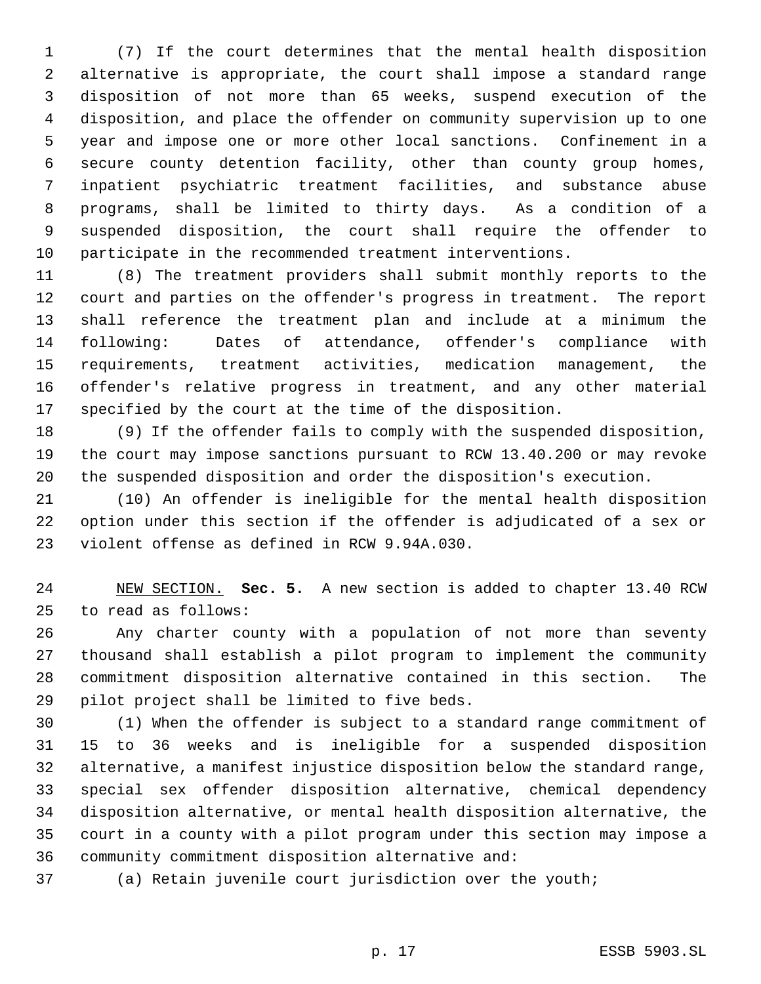(7) If the court determines that the mental health disposition alternative is appropriate, the court shall impose a standard range disposition of not more than 65 weeks, suspend execution of the disposition, and place the offender on community supervision up to one year and impose one or more other local sanctions. Confinement in a secure county detention facility, other than county group homes, inpatient psychiatric treatment facilities, and substance abuse programs, shall be limited to thirty days. As a condition of a suspended disposition, the court shall require the offender to participate in the recommended treatment interventions.

 (8) The treatment providers shall submit monthly reports to the court and parties on the offender's progress in treatment. The report shall reference the treatment plan and include at a minimum the following: Dates of attendance, offender's compliance with requirements, treatment activities, medication management, the offender's relative progress in treatment, and any other material specified by the court at the time of the disposition.

 (9) If the offender fails to comply with the suspended disposition, the court may impose sanctions pursuant to RCW 13.40.200 or may revoke the suspended disposition and order the disposition's execution.

 (10) An offender is ineligible for the mental health disposition option under this section if the offender is adjudicated of a sex or violent offense as defined in RCW 9.94A.030.

 NEW SECTION. **Sec. 5.** A new section is added to chapter 13.40 RCW to read as follows:

 Any charter county with a population of not more than seventy thousand shall establish a pilot program to implement the community commitment disposition alternative contained in this section. The pilot project shall be limited to five beds.

 (1) When the offender is subject to a standard range commitment of 15 to 36 weeks and is ineligible for a suspended disposition alternative, a manifest injustice disposition below the standard range, special sex offender disposition alternative, chemical dependency disposition alternative, or mental health disposition alternative, the court in a county with a pilot program under this section may impose a community commitment disposition alternative and:

(a) Retain juvenile court jurisdiction over the youth;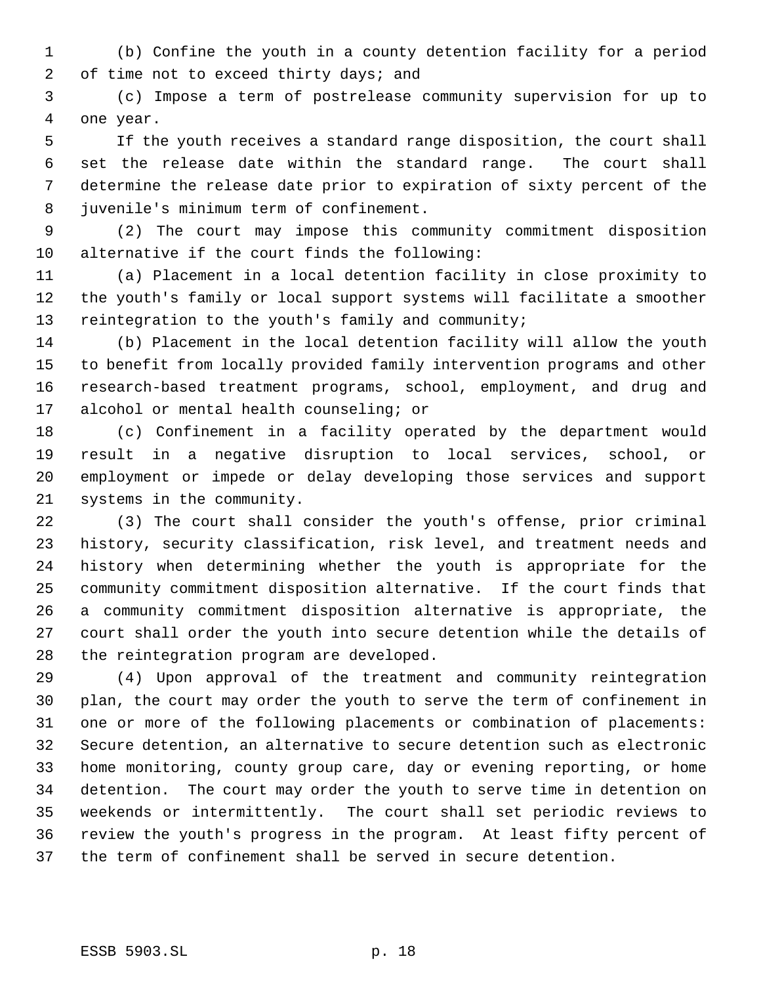(b) Confine the youth in a county detention facility for a period 2 of time not to exceed thirty days; and

 (c) Impose a term of postrelease community supervision for up to one year.

 If the youth receives a standard range disposition, the court shall set the release date within the standard range. The court shall determine the release date prior to expiration of sixty percent of the juvenile's minimum term of confinement.

 (2) The court may impose this community commitment disposition alternative if the court finds the following:

 (a) Placement in a local detention facility in close proximity to the youth's family or local support systems will facilitate a smoother reintegration to the youth's family and community;

 (b) Placement in the local detention facility will allow the youth to benefit from locally provided family intervention programs and other research-based treatment programs, school, employment, and drug and alcohol or mental health counseling; or

 (c) Confinement in a facility operated by the department would result in a negative disruption to local services, school, or employment or impede or delay developing those services and support systems in the community.

 (3) The court shall consider the youth's offense, prior criminal history, security classification, risk level, and treatment needs and history when determining whether the youth is appropriate for the community commitment disposition alternative. If the court finds that a community commitment disposition alternative is appropriate, the court shall order the youth into secure detention while the details of the reintegration program are developed.

 (4) Upon approval of the treatment and community reintegration plan, the court may order the youth to serve the term of confinement in one or more of the following placements or combination of placements: Secure detention, an alternative to secure detention such as electronic home monitoring, county group care, day or evening reporting, or home detention. The court may order the youth to serve time in detention on weekends or intermittently. The court shall set periodic reviews to review the youth's progress in the program. At least fifty percent of the term of confinement shall be served in secure detention.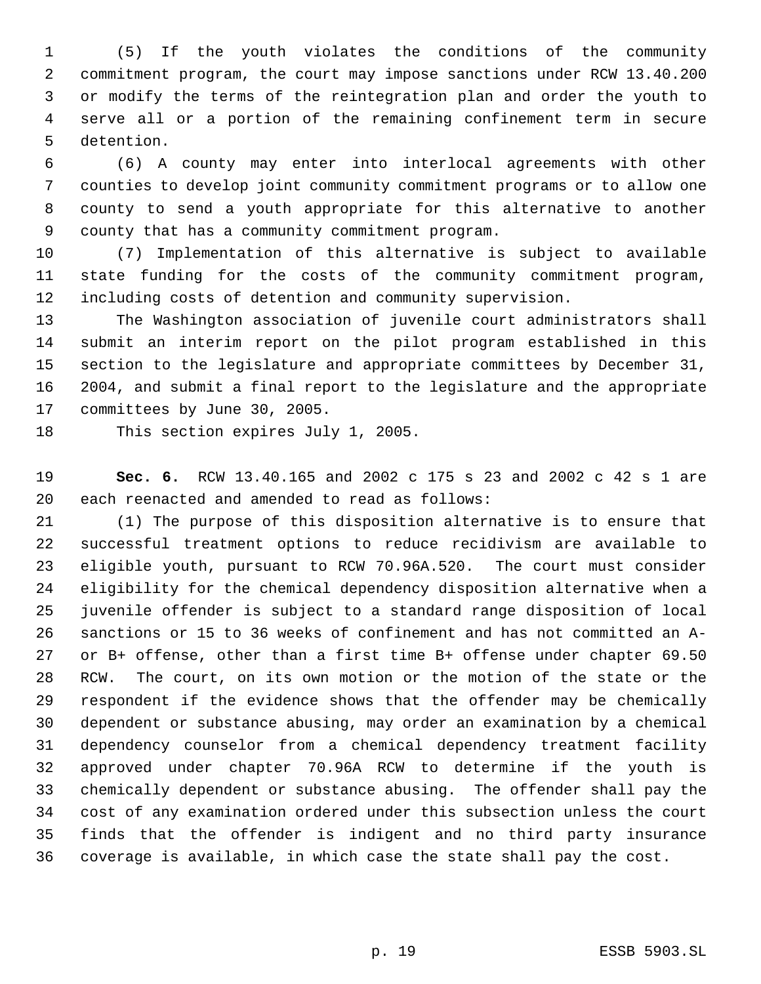(5) If the youth violates the conditions of the community commitment program, the court may impose sanctions under RCW 13.40.200 or modify the terms of the reintegration plan and order the youth to serve all or a portion of the remaining confinement term in secure detention.

 (6) A county may enter into interlocal agreements with other counties to develop joint community commitment programs or to allow one county to send a youth appropriate for this alternative to another county that has a community commitment program.

 (7) Implementation of this alternative is subject to available state funding for the costs of the community commitment program, including costs of detention and community supervision.

 The Washington association of juvenile court administrators shall submit an interim report on the pilot program established in this section to the legislature and appropriate committees by December 31, 2004, and submit a final report to the legislature and the appropriate committees by June 30, 2005.

This section expires July 1, 2005.

 **Sec. 6.** RCW 13.40.165 and 2002 c 175 s 23 and 2002 c 42 s 1 are each reenacted and amended to read as follows:

 (1) The purpose of this disposition alternative is to ensure that successful treatment options to reduce recidivism are available to eligible youth, pursuant to RCW 70.96A.520. The court must consider eligibility for the chemical dependency disposition alternative when a juvenile offender is subject to a standard range disposition of local sanctions or 15 to 36 weeks of confinement and has not committed an A- or B+ offense, other than a first time B+ offense under chapter 69.50 RCW. The court, on its own motion or the motion of the state or the respondent if the evidence shows that the offender may be chemically dependent or substance abusing, may order an examination by a chemical dependency counselor from a chemical dependency treatment facility approved under chapter 70.96A RCW to determine if the youth is chemically dependent or substance abusing. The offender shall pay the cost of any examination ordered under this subsection unless the court finds that the offender is indigent and no third party insurance coverage is available, in which case the state shall pay the cost.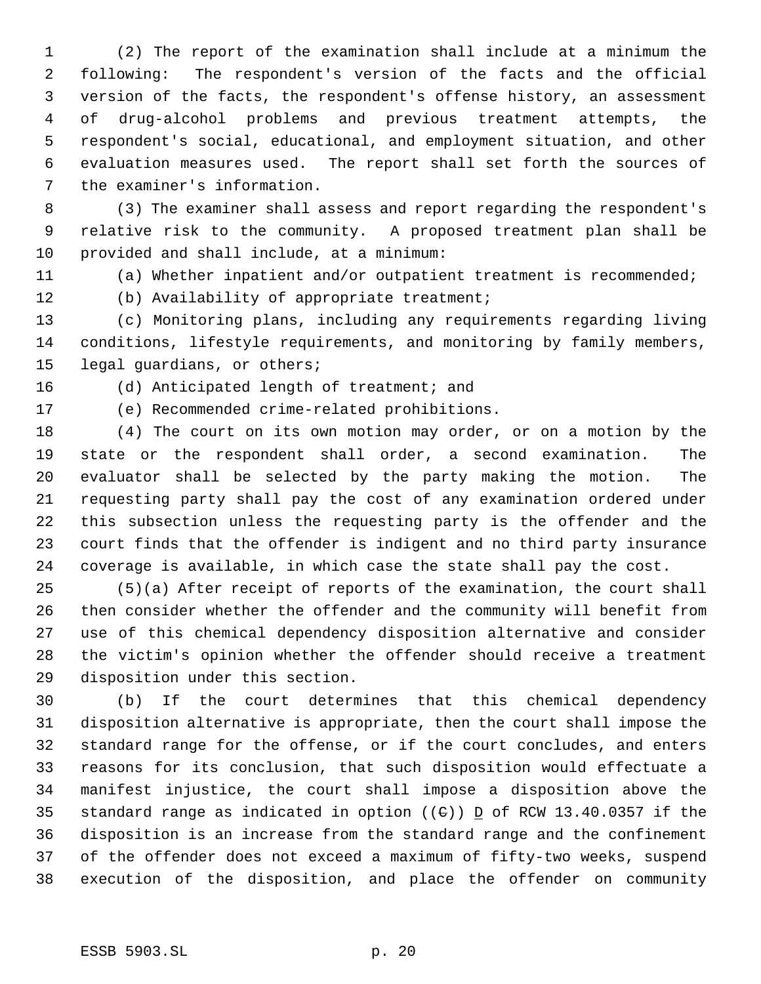(2) The report of the examination shall include at a minimum the following: The respondent's version of the facts and the official version of the facts, the respondent's offense history, an assessment of drug-alcohol problems and previous treatment attempts, the respondent's social, educational, and employment situation, and other evaluation measures used. The report shall set forth the sources of the examiner's information.

 (3) The examiner shall assess and report regarding the respondent's relative risk to the community. A proposed treatment plan shall be provided and shall include, at a minimum:

(a) Whether inpatient and/or outpatient treatment is recommended;

(b) Availability of appropriate treatment;

 (c) Monitoring plans, including any requirements regarding living conditions, lifestyle requirements, and monitoring by family members, legal guardians, or others;

(d) Anticipated length of treatment; and

(e) Recommended crime-related prohibitions.

 (4) The court on its own motion may order, or on a motion by the state or the respondent shall order, a second examination. The evaluator shall be selected by the party making the motion. The requesting party shall pay the cost of any examination ordered under this subsection unless the requesting party is the offender and the court finds that the offender is indigent and no third party insurance coverage is available, in which case the state shall pay the cost.

 (5)(a) After receipt of reports of the examination, the court shall then consider whether the offender and the community will benefit from use of this chemical dependency disposition alternative and consider the victim's opinion whether the offender should receive a treatment disposition under this section.

 (b) If the court determines that this chemical dependency disposition alternative is appropriate, then the court shall impose the standard range for the offense, or if the court concludes, and enters reasons for its conclusion, that such disposition would effectuate a manifest injustice, the court shall impose a disposition above the 35 standard range as indicated in option ( $(\theta)$ ) D of RCW 13.40.0357 if the disposition is an increase from the standard range and the confinement of the offender does not exceed a maximum of fifty-two weeks, suspend execution of the disposition, and place the offender on community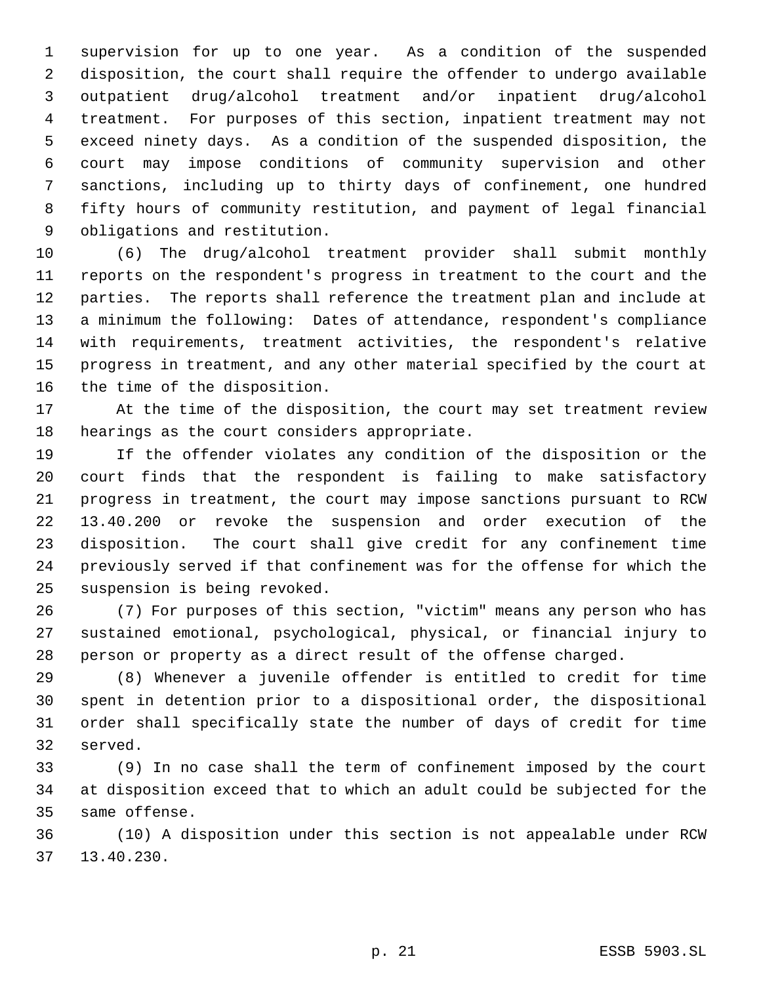supervision for up to one year. As a condition of the suspended disposition, the court shall require the offender to undergo available outpatient drug/alcohol treatment and/or inpatient drug/alcohol treatment. For purposes of this section, inpatient treatment may not exceed ninety days. As a condition of the suspended disposition, the court may impose conditions of community supervision and other sanctions, including up to thirty days of confinement, one hundred fifty hours of community restitution, and payment of legal financial obligations and restitution.

 (6) The drug/alcohol treatment provider shall submit monthly reports on the respondent's progress in treatment to the court and the parties. The reports shall reference the treatment plan and include at a minimum the following: Dates of attendance, respondent's compliance with requirements, treatment activities, the respondent's relative progress in treatment, and any other material specified by the court at the time of the disposition.

 At the time of the disposition, the court may set treatment review hearings as the court considers appropriate.

 If the offender violates any condition of the disposition or the court finds that the respondent is failing to make satisfactory progress in treatment, the court may impose sanctions pursuant to RCW 13.40.200 or revoke the suspension and order execution of the disposition. The court shall give credit for any confinement time previously served if that confinement was for the offense for which the suspension is being revoked.

 (7) For purposes of this section, "victim" means any person who has sustained emotional, psychological, physical, or financial injury to person or property as a direct result of the offense charged.

 (8) Whenever a juvenile offender is entitled to credit for time spent in detention prior to a dispositional order, the dispositional order shall specifically state the number of days of credit for time served.

 (9) In no case shall the term of confinement imposed by the court at disposition exceed that to which an adult could be subjected for the same offense.

 (10) A disposition under this section is not appealable under RCW 13.40.230.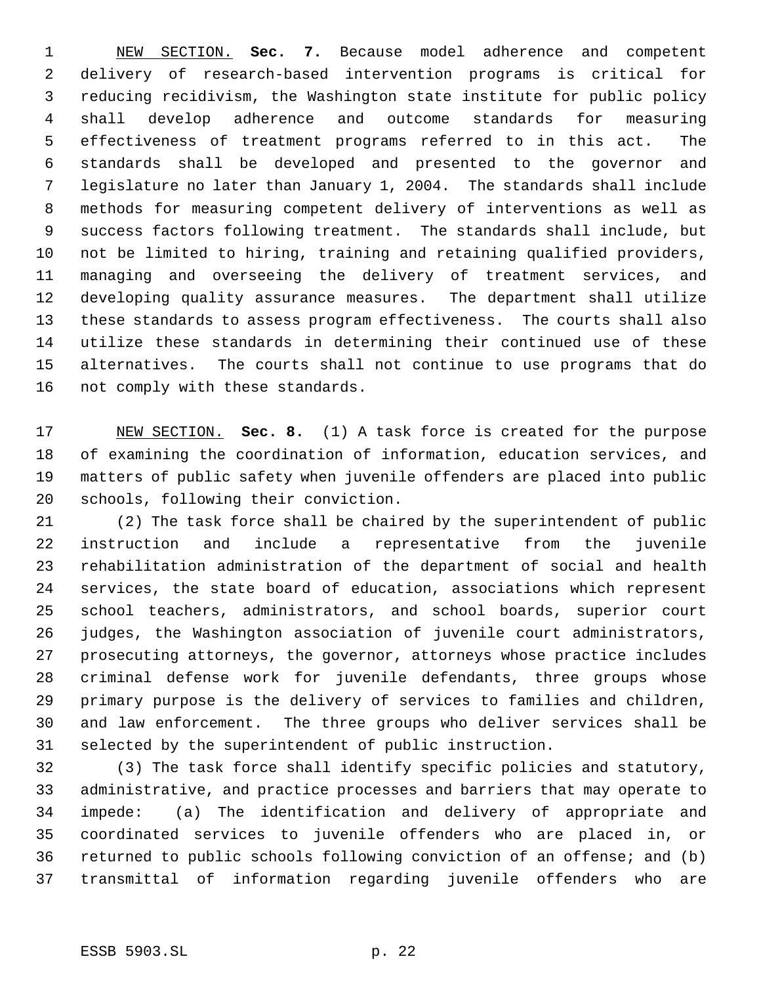NEW SECTION. **Sec. 7.** Because model adherence and competent delivery of research-based intervention programs is critical for reducing recidivism, the Washington state institute for public policy shall develop adherence and outcome standards for measuring effectiveness of treatment programs referred to in this act. The standards shall be developed and presented to the governor and legislature no later than January 1, 2004. The standards shall include methods for measuring competent delivery of interventions as well as success factors following treatment. The standards shall include, but not be limited to hiring, training and retaining qualified providers, managing and overseeing the delivery of treatment services, and developing quality assurance measures. The department shall utilize these standards to assess program effectiveness. The courts shall also utilize these standards in determining their continued use of these alternatives. The courts shall not continue to use programs that do not comply with these standards.

 NEW SECTION. **Sec. 8.** (1) A task force is created for the purpose of examining the coordination of information, education services, and matters of public safety when juvenile offenders are placed into public schools, following their conviction.

 (2) The task force shall be chaired by the superintendent of public instruction and include a representative from the juvenile rehabilitation administration of the department of social and health services, the state board of education, associations which represent school teachers, administrators, and school boards, superior court judges, the Washington association of juvenile court administrators, prosecuting attorneys, the governor, attorneys whose practice includes criminal defense work for juvenile defendants, three groups whose primary purpose is the delivery of services to families and children, and law enforcement. The three groups who deliver services shall be selected by the superintendent of public instruction.

 (3) The task force shall identify specific policies and statutory, administrative, and practice processes and barriers that may operate to impede: (a) The identification and delivery of appropriate and coordinated services to juvenile offenders who are placed in, or returned to public schools following conviction of an offense; and (b) transmittal of information regarding juvenile offenders who are